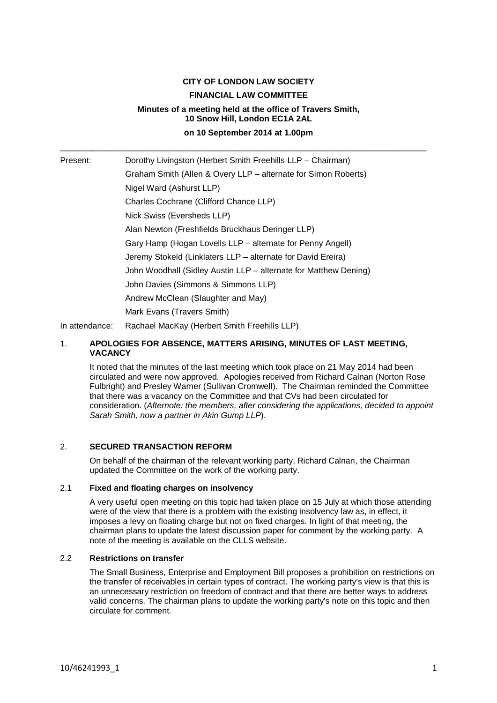# **CITY OF LONDON LAW SOCIETY FINANCIAL LAW COMMITTEE Minutes of a meeting held at the office of Travers Smith, 10 Snow Hill, London EC1A 2AL on 10 September 2014 at 1.00pm**

\_\_\_\_\_\_\_\_\_\_\_\_\_\_\_\_\_\_\_\_\_\_\_\_\_\_\_\_\_\_\_\_\_\_\_\_\_\_\_\_\_\_\_\_\_\_\_\_\_\_\_\_\_\_\_\_\_\_\_\_\_\_\_\_\_\_\_\_\_\_\_\_\_\_\_\_\_\_\_

Present: Dorothy Livingston (Herbert Smith Freehills LLP – Chairman) Graham Smith (Allen & Overy LLP – alternate for Simon Roberts) Nigel Ward (Ashurst LLP) Charles Cochrane (Clifford Chance LLP) Nick Swiss (Eversheds LLP) Alan Newton (Freshfields Bruckhaus Deringer LLP) Gary Hamp (Hogan Lovells LLP – alternate for Penny Angell) Jeremy Stokeld (Linklaters LLP – alternate for David Ereira) John Woodhall (Sidley Austin LLP – alternate for Matthew Dening) John Davies (Simmons & Simmons LLP) Andrew McClean (Slaughter and May) Mark Evans (Travers Smith) In attendance: Rachael MacKay (Herbert Smith Freehills LLP)

1. **APOLOGIES FOR ABSENCE, MATTERS ARISING, MINUTES OF LAST MEETING,** 

# **VACANCY**

It noted that the minutes of the last meeting which took place on 21 May 2014 had been circulated and were now approved. Apologies received from Richard Calnan (Norton Rose Fulbright) and Presley Warner (Sullivan Cromwell). The Chairman reminded the Committee that there was a vacancy on the Committee and that CVs had been circulated for consideration. (*Afternote: the members, after considering the applications, decided to appoint Sarah Smith, now a partner in Akin Gump LLP*).

# 2. **SECURED TRANSACTION REFORM**

On behalf of the chairman of the relevant working party, Richard Calnan, the Chairman updated the Committee on the work of the working party.

# 2.1 **Fixed and floating charges on insolvency**

A very useful open meeting on this topic had taken place on 15 July at which those attending were of the view that there is a problem with the existing insolvency law as, in effect, it imposes a levy on floating charge but not on fixed charges. In light of that meeting, the chairman plans to update the latest discussion paper for comment by the working party. A note of the meeting is available on the CLLS website.

## 2.2 **Restrictions on transfer**

The Small Business, Enterprise and Employment Bill proposes a prohibition on restrictions on the transfer of receivables in certain types of contract. The working party's view is that this is an unnecessary restriction on freedom of contract and that there are better ways to address valid concerns. The chairman plans to update the working party's note on this topic and then circulate for comment.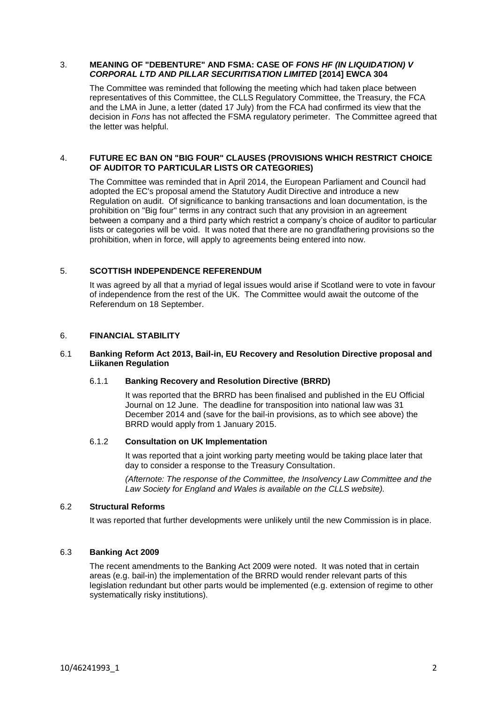#### 3. **MEANING OF "DEBENTURE" AND FSMA: CASE OF** *FONS HF (IN LIQUIDATION) V CORPORAL LTD AND PILLAR SECURITISATION LIMITED* **[2014] EWCA 304**

The Committee was reminded that following the meeting which had taken place between representatives of this Committee, the CLLS Regulatory Committee, the Treasury, the FCA and the LMA in June, a letter (dated 17 July) from the FCA had confirmed its view that the decision in *Fons* has not affected the FSMA regulatory perimeter. The Committee agreed that the letter was helpful.

#### 4. **FUTURE EC BAN ON "BIG FOUR" CLAUSES (PROVISIONS WHICH RESTRICT CHOICE OF AUDITOR TO PARTICULAR LISTS OR CATEGORIES)**

The Committee was reminded that in April 2014, the European Parliament and Council had adopted the EC's proposal amend the Statutory Audit Directive and introduce a new Regulation on audit. Of significance to banking transactions and loan documentation, is the prohibition on "Big four" terms in any contract such that any provision in an agreement between a company and a third party which restrict a company's choice of auditor to particular lists or categories will be void. It was noted that there are no grandfathering provisions so the prohibition, when in force, will apply to agreements being entered into now.

# 5. **SCOTTISH INDEPENDENCE REFERENDUM**

It was agreed by all that a myriad of legal issues would arise if Scotland were to vote in favour of independence from the rest of the UK. The Committee would await the outcome of the Referendum on 18 September.

#### 6. **FINANCIAL STABILITY**

#### 6.1 **Banking Reform Act 2013, Bail-in, EU Recovery and Resolution Directive proposal and Liikanen Regulation**

#### 6.1.1 **Banking Recovery and Resolution Directive (BRRD)**

It was reported that the BRRD has been finalised and published in the EU Official Journal on 12 June. The deadline for transposition into national law was 31 December 2014 and (save for the bail-in provisions, as to which see above) the BRRD would apply from 1 January 2015.

#### 6.1.2 **Consultation on UK Implementation**

It was reported that a joint working party meeting would be taking place later that day to consider a response to the Treasury Consultation.

*(Afternote: The response of the Committee, the Insolvency Law Committee and the Law Society for England and Wales is available on the CLLS website).*

#### 6.2 **Structural Reforms**

It was reported that further developments were unlikely until the new Commission is in place.

#### 6.3 **Banking Act 2009**

The recent amendments to the Banking Act 2009 were noted. It was noted that in certain areas (e.g. bail-in) the implementation of the BRRD would render relevant parts of this legislation redundant but other parts would be implemented (e.g. extension of regime to other systematically risky institutions).